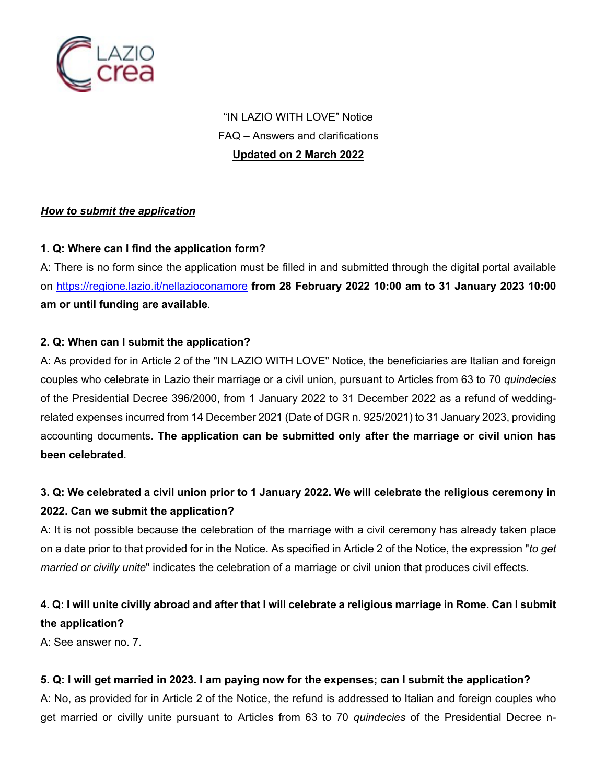

"IN LAZIO WITH LOVE" Notice FAQ – Answers and clarifications **Updated on 2 March 2022**

#### *How to submit the application*

### **1. Q: Where can I find the application form?**

A: There is no form since the application must be filled in and submitted through the digital portal available on https://regione.lazio.it/nellazioconamore **from 28 February 2022 10:00 am to 31 January 2023 10:00 am or until funding are available**.

#### **2. Q: When can I submit the application?**

A: As provided for in Article 2 of the "IN LAZIO WITH LOVE" Notice, the beneficiaries are Italian and foreign couples who celebrate in Lazio their marriage or a civil union, pursuant to Articles from 63 to 70 *quindecies* of the Presidential Decree 396/2000, from 1 January 2022 to 31 December 2022 as a refund of weddingrelated expenses incurred from 14 December 2021 (Date of DGR n. 925/2021) to 31 January 2023, providing accounting documents. **The application can be submitted only after the marriage or civil union has been celebrated**.

## **3. Q: We celebrated a civil union prior to 1 January 2022. We will celebrate the religious ceremony in 2022. Can we submit the application?**

A: It is not possible because the celebration of the marriage with a civil ceremony has already taken place on a date prior to that provided for in the Notice. As specified in Article 2 of the Notice, the expression "*to get married or civilly unite*" indicates the celebration of a marriage or civil union that produces civil effects.

## **4. Q: I will unite civilly abroad and after that I will celebrate a religious marriage in Rome. Can I submit the application?**

A: See answer no. 7.

### **5. Q: I will get married in 2023. I am paying now for the expenses; can I submit the application?**

A: No, as provided for in Article 2 of the Notice, the refund is addressed to Italian and foreign couples who get married or civilly unite pursuant to Articles from 63 to 70 *quindecies* of the Presidential Decree n-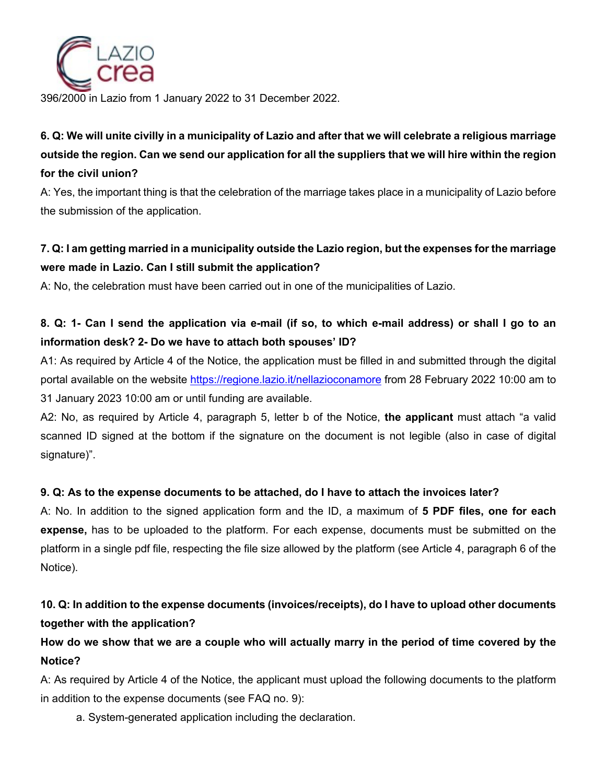

396/2000 in Lazio from 1 January 2022 to 31 December 2022.

# **6. Q: We will unite civilly in a municipality of Lazio and after that we will celebrate a religious marriage outside the region. Can we send our application for all the suppliers that we will hire within the region for the civil union?**

A: Yes, the important thing is that the celebration of the marriage takes place in a municipality of Lazio before the submission of the application.

## **7. Q: I am getting married in a municipality outside the Lazio region, but the expenses for the marriage were made in Lazio. Can I still submit the application?**

A: No, the celebration must have been carried out in one of the municipalities of Lazio.

## **8. Q: 1- Can I send the application via e-mail (if so, to which e-mail address) or shall I go to an information desk? 2- Do we have to attach both spouses' ID?**

A1: As required by Article 4 of the Notice, the application must be filled in and submitted through the digital portal available on the website https://regione.lazio.it/nellazioconamore from 28 February 2022 10:00 am to 31 January 2023 10:00 am or until funding are available.

A2: No, as required by Article 4, paragraph 5, letter b of the Notice, **the applicant** must attach "a valid scanned ID signed at the bottom if the signature on the document is not legible (also in case of digital signature)".

### **9. Q: As to the expense documents to be attached, do I have to attach the invoices later?**

A: No. In addition to the signed application form and the ID, a maximum of **5 PDF files, one for each expense,** has to be uploaded to the platform. For each expense, documents must be submitted on the platform in a single pdf file, respecting the file size allowed by the platform (see Article 4, paragraph 6 of the Notice).

## **10. Q: In addition to the expense documents (invoices/receipts), do I have to upload other documents together with the application?**

**How do we show that we are a couple who will actually marry in the period of time covered by the Notice?**

A: As required by Article 4 of the Notice, the applicant must upload the following documents to the platform in addition to the expense documents (see FAQ no. 9):

a. System-generated application including the declaration.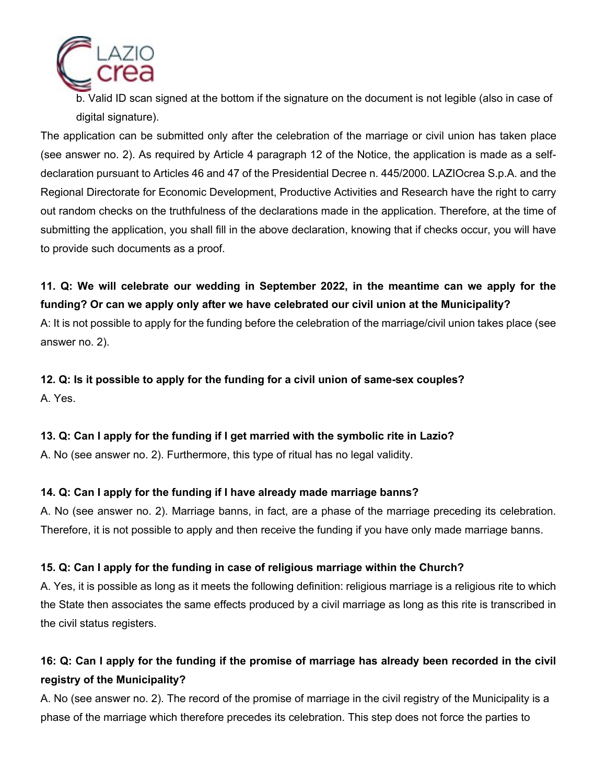

b. Valid ID scan signed at the bottom if the signature on the document is not legible (also in case of digital signature).

The application can be submitted only after the celebration of the marriage or civil union has taken place (see answer no. 2). As required by Article 4 paragraph 12 of the Notice, the application is made as a selfdeclaration pursuant to Articles 46 and 47 of the Presidential Decree n. 445/2000. LAZIOcrea S.p.A. and the Regional Directorate for Economic Development, Productive Activities and Research have the right to carry out random checks on the truthfulness of the declarations made in the application. Therefore, at the time of submitting the application, you shall fill in the above declaration, knowing that if checks occur, you will have to provide such documents as a proof.

## **11. Q: We will celebrate our wedding in September 2022, in the meantime can we apply for the funding? Or can we apply only after we have celebrated our civil union at the Municipality?**

A: It is not possible to apply for the funding before the celebration of the marriage/civil union takes place (see answer no. 2).

**12. Q: Is it possible to apply for the funding for a civil union of same-sex couples?** A. Yes.

### **13. Q: Can I apply for the funding if I get married with the symbolic rite in Lazio?**

A. No (see answer no. 2). Furthermore, this type of ritual has no legal validity.

### **14. Q: Can I apply for the funding if I have already made marriage banns?**

A. No (see answer no. 2). Marriage banns, in fact, are a phase of the marriage preceding its celebration. Therefore, it is not possible to apply and then receive the funding if you have only made marriage banns.

### **15. Q: Can I apply for the funding in case of religious marriage within the Church?**

A. Yes, it is possible as long as it meets the following definition: religious marriage is a religious rite to which the State then associates the same effects produced by a civil marriage as long as this rite is transcribed in the civil status registers.

## **16: Q: Can I apply for the funding if the promise of marriage has already been recorded in the civil registry of the Municipality?**

A. No (see answer no. 2). The record of the promise of marriage in the civil registry of the Municipality is a phase of the marriage which therefore precedes its celebration. This step does not force the parties to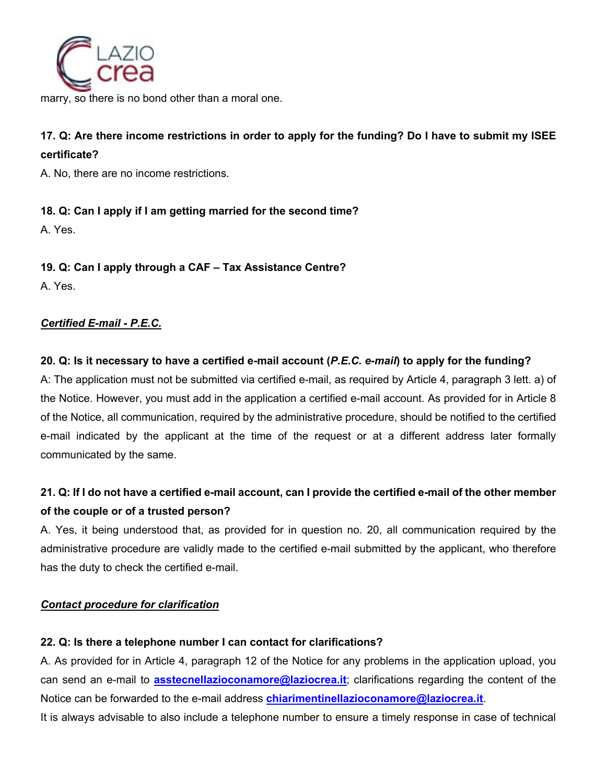

marry, so there is no bond other than a moral one.

## **17. Q: Are there income restrictions in order to apply for the funding? Do I have to submit my ISEE certificate?**

A. No, there are no income restrictions.

### **18. Q: Can I apply if I am getting married for the second time?**

A. Yes.

### **19. Q: Can I apply through a CAF – Tax Assistance Centre?**

A. Yes.

### *Certified E-mail - P.E.C.*

### **20. Q: Is it necessary to have a certified e-mail account (***P.E.C. e-mail***) to apply for the funding?**

A: The application must not be submitted via certified e-mail, as required by Article 4, paragraph 3 lett. a) of the Notice. However, you must add in the application a certified e-mail account. As provided for in Article 8 of the Notice, all communication, required by the administrative procedure, should be notified to the certified e-mail indicated by the applicant at the time of the request or at a different address later formally communicated by the same.

## **21. Q: If I do not have a certified e-mail account, can I provide the certified e-mail of the other member of the couple or of a trusted person?**

A. Yes, it being understood that, as provided for in question no. 20, all communication required by the administrative procedure are validly made to the certified e-mail submitted by the applicant, who therefore has the duty to check the certified e-mail.

### *Contact procedure for clarification*

### **22. Q: Is there a telephone number I can contact for clarifications?**

A. As provided for in Article 4, paragraph 12 of the Notice for any problems in the application upload, you can send an e-mail to **asstecnellazioconamore@laziocrea.it**; clarifications regarding the content of the Notice can be forwarded to the e-mail address **chiarimentinellazioconamore@laziocrea.it**.

It is always advisable to also include a telephone number to ensure a timely response in case of technical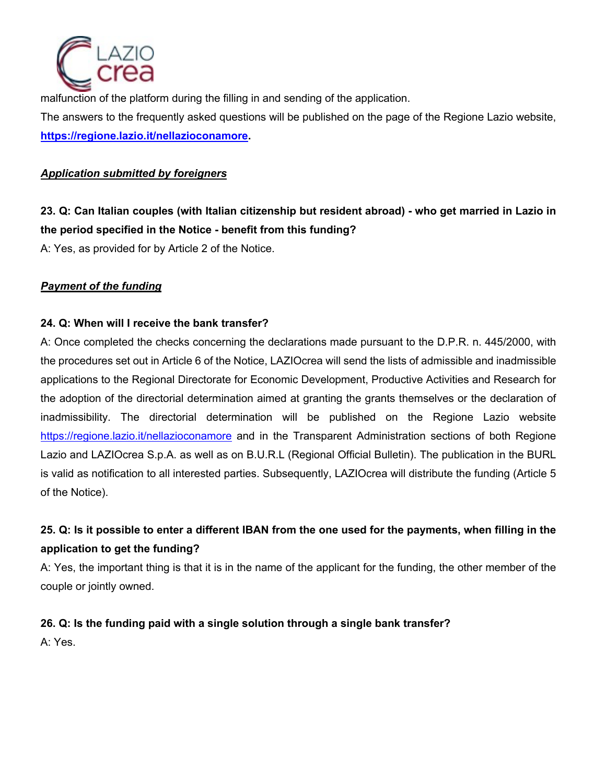

malfunction of the platform during the filling in and sending of the application. The answers to the frequently asked questions will be published on the page of the Regione Lazio website, **https://regione.lazio.it/nellazioconamore.**

#### *Application submitted by foreigners*

## **23. Q: Can Italian couples (with Italian citizenship but resident abroad) - who get married in Lazio in the period specified in the Notice - benefit from this funding?**

A: Yes, as provided for by Article 2 of the Notice.

### *Payment of the funding*

### **24. Q: When will I receive the bank transfer?**

A: Once completed the checks concerning the declarations made pursuant to the D.P.R. n. 445/2000, with the procedures set out in Article 6 of the Notice, LAZIOcrea will send the lists of admissible and inadmissible applications to the Regional Directorate for Economic Development, Productive Activities and Research for the adoption of the directorial determination aimed at granting the grants themselves or the declaration of inadmissibility. The directorial determination will be published on the Regione Lazio website https://regione.lazio.it/nellazioconamore and in the Transparent Administration sections of both Regione Lazio and LAZIOcrea S.p.A. as well as on B.U.R.L (Regional Official Bulletin). The publication in the BURL is valid as notification to all interested parties. Subsequently, LAZIOcrea will distribute the funding (Article 5 of the Notice).

## **25. Q: Is it possible to enter a different IBAN from the one used for the payments, when filling in the application to get the funding?**

A: Yes, the important thing is that it is in the name of the applicant for the funding, the other member of the couple or jointly owned.

### **26. Q: Is the funding paid with a single solution through a single bank transfer?**

A: Yes.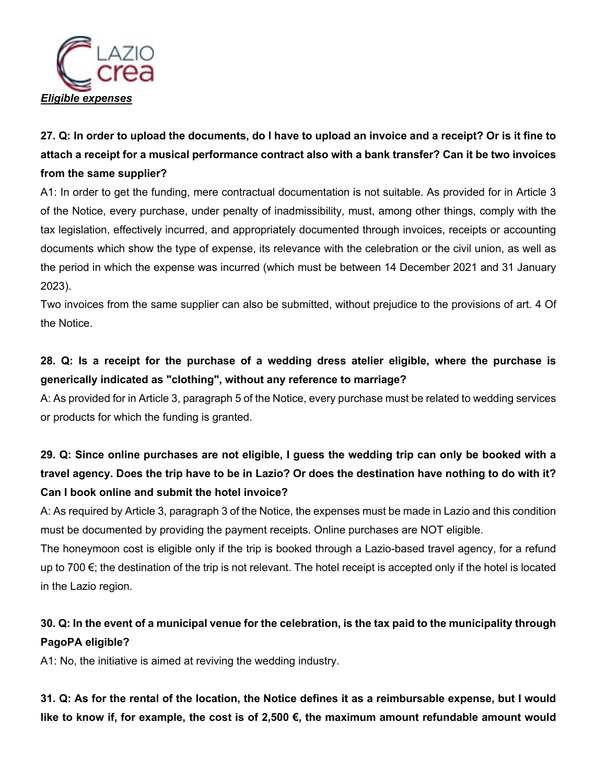

# **27. Q: In order to upload the documents, do I have to upload an invoice and a receipt? Or is it fine to attach a receipt for a musical performance contract also with a bank transfer? Can it be two invoices from the same supplier?**

A1: In order to get the funding, mere contractual documentation is not suitable. As provided for in Article 3 of the Notice, every purchase, under penalty of inadmissibility, must, among other things, comply with the tax legislation, effectively incurred, and appropriately documented through invoices, receipts or accounting documents which show the type of expense, its relevance with the celebration or the civil union, as well as the period in which the expense was incurred (which must be between 14 December 2021 and 31 January 2023).

Two invoices from the same supplier can also be submitted, without prejudice to the provisions of art. 4 Of the Notice.

## **28. Q: Is a receipt for the purchase of a wedding dress atelier eligible, where the purchase is generically indicated as "clothing", without any reference to marriage?**

A: As provided for in Article 3, paragraph 5 of the Notice, every purchase must be related to wedding services or products for which the funding is granted.

# **29. Q: Since online purchases are not eligible, I guess the wedding trip can only be booked with a travel agency. Does the trip have to be in Lazio? Or does the destination have nothing to do with it? Can I book online and submit the hotel invoice?**

A: As required by Article 3, paragraph 3 of the Notice, the expenses must be made in Lazio and this condition must be documented by providing the payment receipts. Online purchases are NOT eligible.

The honeymoon cost is eligible only if the trip is booked through a Lazio-based travel agency, for a refund up to 700 $\epsilon$ ; the destination of the trip is not relevant. The hotel receipt is accepted only if the hotel is located in the Lazio region.

## **30. Q: In the event of a municipal venue for the celebration, is the tax paid to the municipality through PagoPA eligible?**

A1: No, the initiative is aimed at reviving the wedding industry.

**31. Q: As for the rental of the location, the Notice defines it as a reimbursable expense, but I would like to know if, for example, the cost is of 2,500 €, the maximum amount refundable amount would**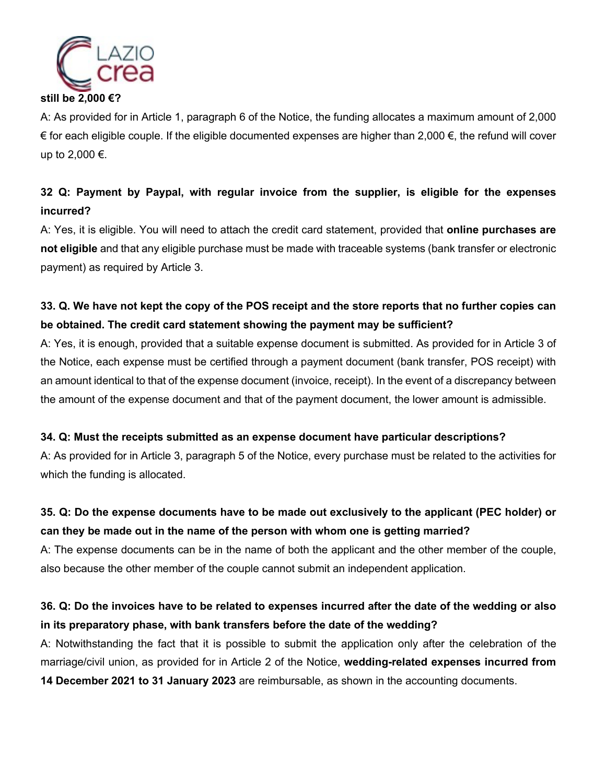

**still be 2,000 €?**

A: As provided for in Article 1, paragraph 6 of the Notice, the funding allocates a maximum amount of 2,000 € for each eligible couple. If the eligible documented expenses are higher than 2,000 €, the refund will cover up to 2,000 €.

## **32 Q: Payment by Paypal, with regular invoice from the supplier, is eligible for the expenses incurred?**

A: Yes, it is eligible. You will need to attach the credit card statement, provided that **online purchases are not eligible** and that any eligible purchase must be made with traceable systems (bank transfer or electronic payment) as required by Article 3.

## **33. Q. We have not kept the copy of the POS receipt and the store reports that no further copies can be obtained. The credit card statement showing the payment may be sufficient?**

A: Yes, it is enough, provided that a suitable expense document is submitted. As provided for in Article 3 of the Notice, each expense must be certified through a payment document (bank transfer, POS receipt) with an amount identical to that of the expense document (invoice, receipt). In the event of a discrepancy between the amount of the expense document and that of the payment document, the lower amount is admissible.

### **34. Q: Must the receipts submitted as an expense document have particular descriptions?**

A: As provided for in Article 3, paragraph 5 of the Notice, every purchase must be related to the activities for which the funding is allocated.

## **35. Q: Do the expense documents have to be made out exclusively to the applicant (PEC holder) or can they be made out in the name of the person with whom one is getting married?**

A: The expense documents can be in the name of both the applicant and the other member of the couple, also because the other member of the couple cannot submit an independent application.

## **36. Q: Do the invoices have to be related to expenses incurred after the date of the wedding or also in its preparatory phase, with bank transfers before the date of the wedding?**

A: Notwithstanding the fact that it is possible to submit the application only after the celebration of the marriage/civil union, as provided for in Article 2 of the Notice, **wedding-related expenses incurred from** 

**14 December 2021 to 31 January 2023** are reimbursable, as shown in the accounting documents.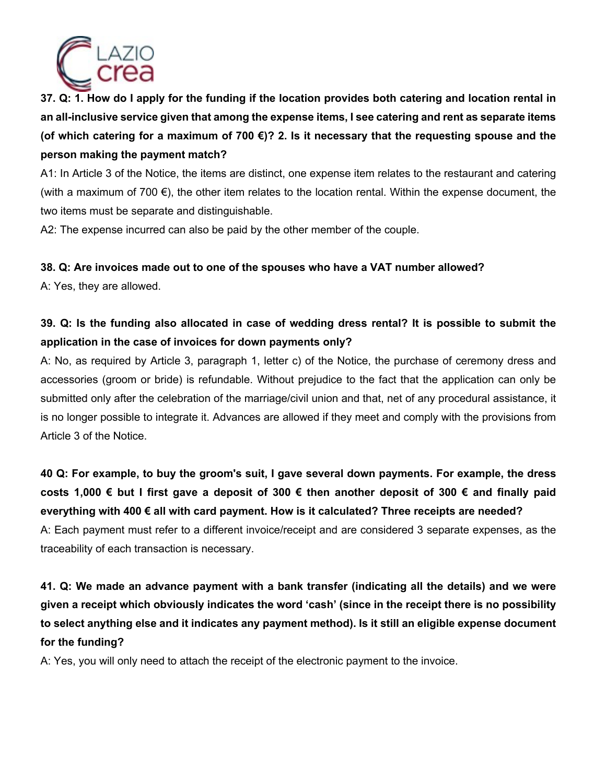

**37. Q: 1. How do I apply for the funding if the location provides both catering and location rental in an all-inclusive service given that among the expense items, I see catering and rent as separate items (of which catering for a maximum of 700 €)? 2. Is it necessary that the requesting spouse and the person making the payment match?** 

A1: In Article 3 of the Notice, the items are distinct, one expense item relates to the restaurant and catering (with a maximum of 700 €), the other item relates to the location rental. Within the expense document, the two items must be separate and distinguishable.

A2: The expense incurred can also be paid by the other member of the couple.

### **38. Q: Are invoices made out to one of the spouses who have a VAT number allowed?**

A: Yes, they are allowed.

## **39. Q: Is the funding also allocated in case of wedding dress rental? It is possible to submit the application in the case of invoices for down payments only?**

A: No, as required by Article 3, paragraph 1, letter c) of the Notice, the purchase of ceremony dress and accessories (groom or bride) is refundable. Without prejudice to the fact that the application can only be submitted only after the celebration of the marriage/civil union and that, net of any procedural assistance, it is no longer possible to integrate it. Advances are allowed if they meet and comply with the provisions from Article 3 of the Notice.

## **40 Q: For example, to buy the groom's suit, I gave several down payments. For example, the dress costs 1,000 € but I first gave a deposit of 300 € then another deposit of 300 € and finally paid everything with 400 € all with card payment. How is it calculated? Three receipts are needed?**

A: Each payment must refer to a different invoice/receipt and are considered 3 separate expenses, as the traceability of each transaction is necessary.

# **41. Q: We made an advance payment with a bank transfer (indicating all the details) and we were given a receipt which obviously indicates the word 'cash' (since in the receipt there is no possibility to select anything else and it indicates any payment method). Is it still an eligible expense document for the funding?**

A: Yes, you will only need to attach the receipt of the electronic payment to the invoice.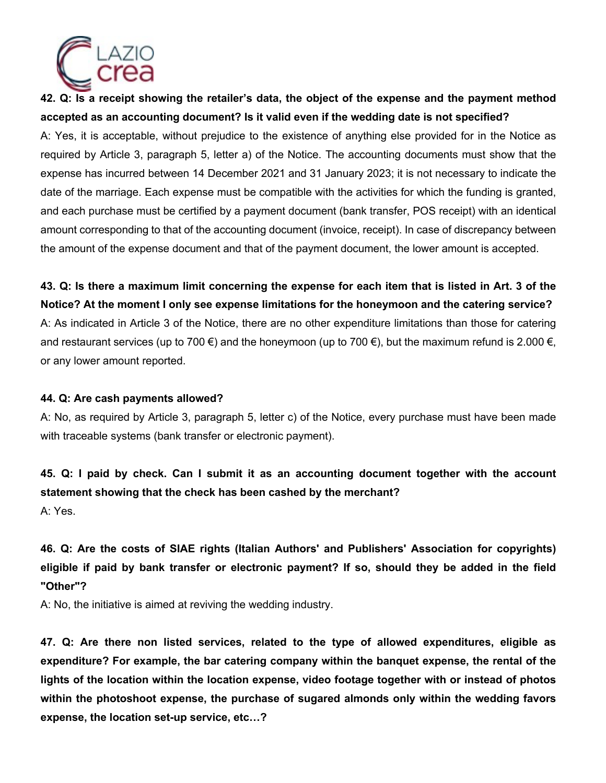

**42. Q: Is a receipt showing the retailer's data, the object of the expense and the payment method accepted as an accounting document? Is it valid even if the wedding date is not specified?** A: Yes, it is acceptable, without prejudice to the existence of anything else provided for in the Notice as required by Article 3, paragraph 5, letter a) of the Notice. The accounting documents must show that the expense has incurred between 14 December 2021 and 31 January 2023; it is not necessary to indicate the date of the marriage. Each expense must be compatible with the activities for which the funding is granted, and each purchase must be certified by a payment document (bank transfer, POS receipt) with an identical amount corresponding to that of the accounting document (invoice, receipt). In case of discrepancy between the amount of the expense document and that of the payment document, the lower amount is accepted.

**43. Q: Is there a maximum limit concerning the expense for each item that is listed in Art. 3 of the Notice? At the moment I only see expense limitations for the honeymoon and the catering service?** A: As indicated in Article 3 of the Notice, there are no other expenditure limitations than those for catering and restaurant services (up to 700  $\epsilon$ ) and the honeymoon (up to 700  $\epsilon$ ), but the maximum refund is 2.000  $\epsilon$ , or any lower amount reported.

#### **44. Q: Are cash payments allowed?**

A: No, as required by Article 3, paragraph 5, letter c) of the Notice, every purchase must have been made with traceable systems (bank transfer or electronic payment).

**45. Q: I paid by check. Can I submit it as an accounting document together with the account statement showing that the check has been cashed by the merchant?** A: Yes.

**46. Q: Are the costs of SIAE rights (Italian Authors' and Publishers' Association for copyrights) eligible if paid by bank transfer or electronic payment? If so, should they be added in the field "Other"?**

A: No, the initiative is aimed at reviving the wedding industry.

**47. Q: Are there non listed services, related to the type of allowed expenditures, eligible as expenditure? For example, the bar catering company within the banquet expense, the rental of the lights of the location within the location expense, video footage together with or instead of photos within the photoshoot expense, the purchase of sugared almonds only within the wedding favors expense, the location set-up service, etc…?**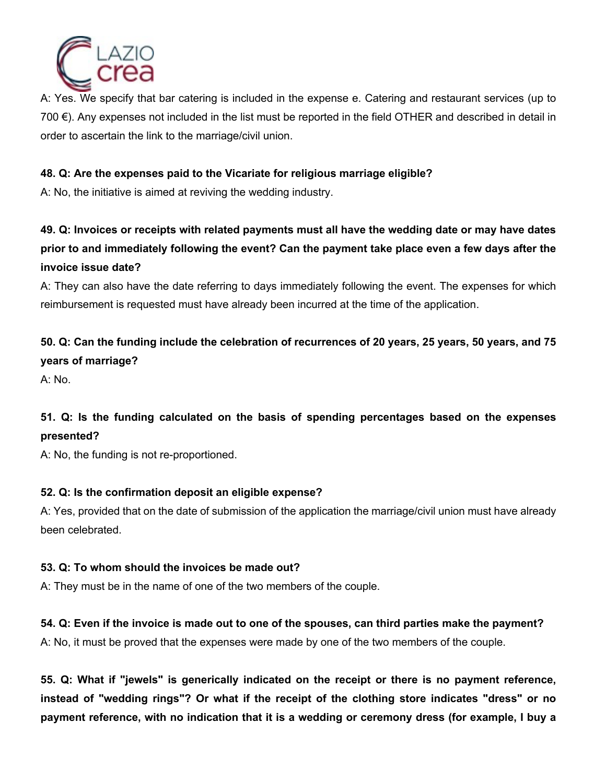

A: Yes. We specify that bar catering is included in the expense e. Catering and restaurant services (up to 700 €). Any expenses not included in the list must be reported in the field OTHER and described in detail in order to ascertain the link to the marriage/civil union.

### **48. Q: Are the expenses paid to the Vicariate for religious marriage eligible?**

A: No, the initiative is aimed at reviving the wedding industry.

# **49. Q: Invoices or receipts with related payments must all have the wedding date or may have dates prior to and immediately following the event? Can the payment take place even a few days after the invoice issue date?**

A: They can also have the date referring to days immediately following the event. The expenses for which reimbursement is requested must have already been incurred at the time of the application.

# **50. Q: Can the funding include the celebration of recurrences of 20 years, 25 years, 50 years, and 75 years of marriage?**

A: No.

## **51. Q: Is the funding calculated on the basis of spending percentages based on the expenses presented?**

A: No, the funding is not re-proportioned.

### **52. Q: Is the confirmation deposit an eligible expense?**

A: Yes, provided that on the date of submission of the application the marriage/civil union must have already been celebrated.

### **53. Q: To whom should the invoices be made out?**

A: They must be in the name of one of the two members of the couple.

### **54. Q: Even if the invoice is made out to one of the spouses, can third parties make the payment?**

A: No, it must be proved that the expenses were made by one of the two members of the couple.

**55. Q: What if "jewels" is generically indicated on the receipt or there is no payment reference, instead of "wedding rings"? Or what if the receipt of the clothing store indicates "dress" or no payment reference, with no indication that it is a wedding or ceremony dress (for example, I buy a**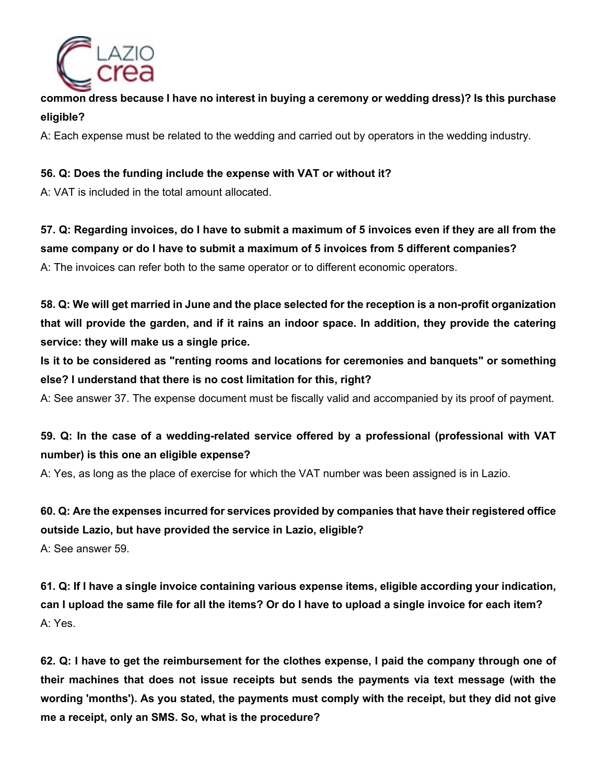

### **common dress because I have no interest in buying a ceremony or wedding dress)? Is this purchase eligible?**

A: Each expense must be related to the wedding and carried out by operators in the wedding industry.

### **56. Q: Does the funding include the expense with VAT or without it?**

A: VAT is included in the total amount allocated.

**57. Q: Regarding invoices, do I have to submit a maximum of 5 invoices even if they are all from the same company or do I have to submit a maximum of 5 invoices from 5 different companies?** A: The invoices can refer both to the same operator or to different economic operators.

**58. Q: We will get married in June and the place selected for the reception is a non-profit organization that will provide the garden, and if it rains an indoor space. In addition, they provide the catering service: they will make us a single price.**

**Is it to be considered as "renting rooms and locations for ceremonies and banquets" or something else? I understand that there is no cost limitation for this, right?**

A: See answer 37. The expense document must be fiscally valid and accompanied by its proof of payment.

## **59. Q: In the case of a wedding-related service offered by a professional (professional with VAT number) is this one an eligible expense?**

A: Yes, as long as the place of exercise for which the VAT number was been assigned is in Lazio.

**60. Q: Are the expenses incurred for services provided by companies that have their registered office outside Lazio, but have provided the service in Lazio, eligible?** A: See answer 59.

**61. Q: If I have a single invoice containing various expense items, eligible according your indication, can I upload the same file for all the items? Or do I have to upload a single invoice for each item?** A: Yes.

**62. Q: I have to get the reimbursement for the clothes expense, I paid the company through one of their machines that does not issue receipts but sends the payments via text message (with the wording 'months'). As you stated, the payments must comply with the receipt, but they did not give me a receipt, only an SMS. So, what is the procedure?**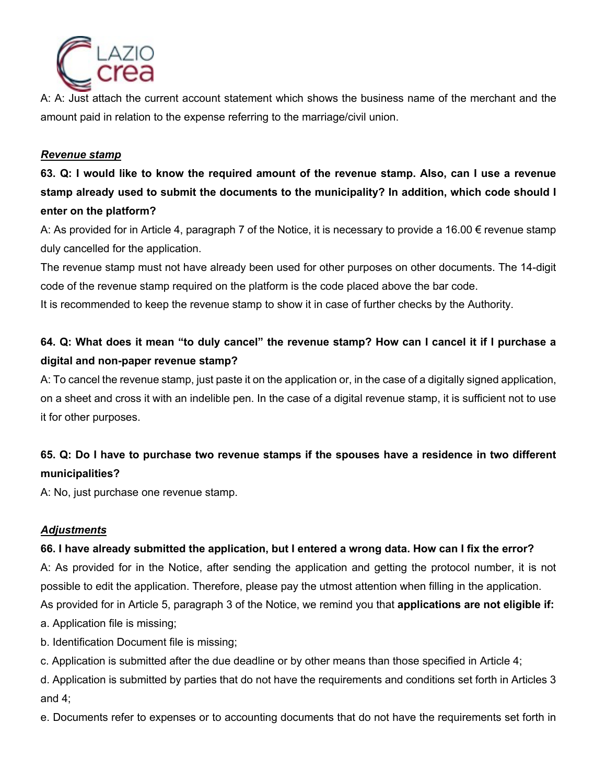

A: A: Just attach the current account statement which shows the business name of the merchant and the amount paid in relation to the expense referring to the marriage/civil union.

#### *Revenue stamp*

**63. Q: I would like to know the required amount of the revenue stamp. Also, can I use a revenue stamp already used to submit the documents to the municipality? In addition, which code should I enter on the platform?** 

A: As provided for in Article 4, paragraph 7 of the Notice, it is necessary to provide a 16.00  $\epsilon$  revenue stamp duly cancelled for the application.

The revenue stamp must not have already been used for other purposes on other documents. The 14-digit code of the revenue stamp required on the platform is the code placed above the bar code.

It is recommended to keep the revenue stamp to show it in case of further checks by the Authority.

## **64. Q: What does it mean "to duly cancel" the revenue stamp? How can I cancel it if I purchase a digital and non-paper revenue stamp?**

A: To cancel the revenue stamp, just paste it on the application or, in the case of a digitally signed application, on a sheet and cross it with an indelible pen. In the case of a digital revenue stamp, it is sufficient not to use it for other purposes.

## **65. Q: Do I have to purchase two revenue stamps if the spouses have a residence in two different municipalities?**

A: No, just purchase one revenue stamp.

### *Adjustments*

### **66. I have already submitted the application, but I entered a wrong data. How can I fix the error?**

A: As provided for in the Notice, after sending the application and getting the protocol number, it is not possible to edit the application. Therefore, please pay the utmost attention when filling in the application.

As provided for in Article 5, paragraph 3 of the Notice, we remind you that **applications are not eligible if:**

a. Application file is missing;

- b. Identification Document file is missing;
- c. Application is submitted after the due deadline or by other means than those specified in Article 4;

d. Application is submitted by parties that do not have the requirements and conditions set forth in Articles 3 and 4;

e. Documents refer to expenses or to accounting documents that do not have the requirements set forth in